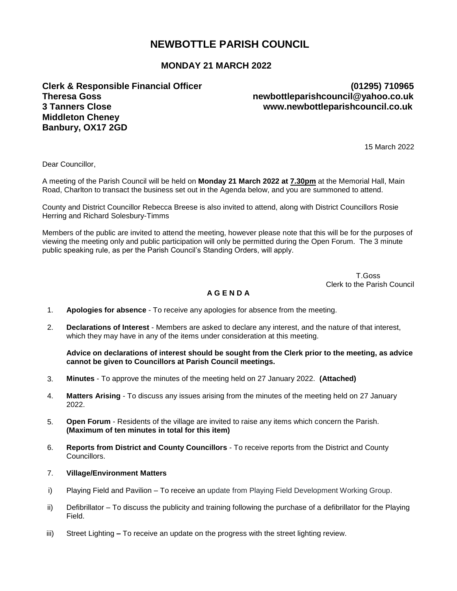# **NEWBOTTLE PARISH COUNCIL**

## **MONDAY 21 MARCH 2022**

**Theresa Goss newbottleparishcouncil@yahoo.co.uk 3 Tanners Close www.newbottleparishcouncil.co.uk Middleton Cheney Banbury, OX17 2GD**

# **Clerk & Responsible Financial Officer (01295) 710965**

15 March 2022

Dear Councillor,

A meeting of the Parish Council will be held on **Monday 21 March 2022 at 7.30pm** at the Memorial Hall, Main Road, Charlton to transact the business set out in the Agenda below, and you are summoned to attend.

County and District Councillor Rebecca Breese is also invited to attend, along with District Councillors Rosie Herring and Richard Solesbury-Timms

Members of the public are invited to attend the meeting, however please note that this will be for the purposes of viewing the meeting only and public participation will only be permitted during the Open Forum. The 3 minute public speaking rule, as per the Parish Council's Standing Orders, will apply.

 T.Goss Clerk to the Parish Council

#### **A G E N D A**

- 1. **Apologies for absence**  To receive any apologies for absence from the meeting.
- 2. **Declarations of Interest**  Members are asked to declare any interest, and the nature of that interest, which they may have in any of the items under consideration at this meeting.

#### **Advice on declarations of interest should be sought from the Clerk prior to the meeting, as advice cannot be given to Councillors at Parish Council meetings.**

- 3. **Minutes**  To approve the minutes of the meeting held on 27 January 2022. **(Attached)**
- 4. **Matters Arising**  To discuss any issues arising from the minutes of the meeting held on 27 January 2022.
- 5. **Open Forum** Residents of the village are invited to raise any items which concern the Parish. **(Maximum of ten minutes in total for this item)**
- 6. **Reports from District and County Councillors** To receive reports from the District and County Councillors.
- 7. **Village/Environment Matters**
- i) Playing Field and Pavilion To receive an update from Playing Field Development Working Group.
- ii) Defibrillator To discuss the publicity and training following the purchase of a defibrillator for the Playing Field.
- iii) Street Lighting **–** To receive an update on the progress with the street lighting review.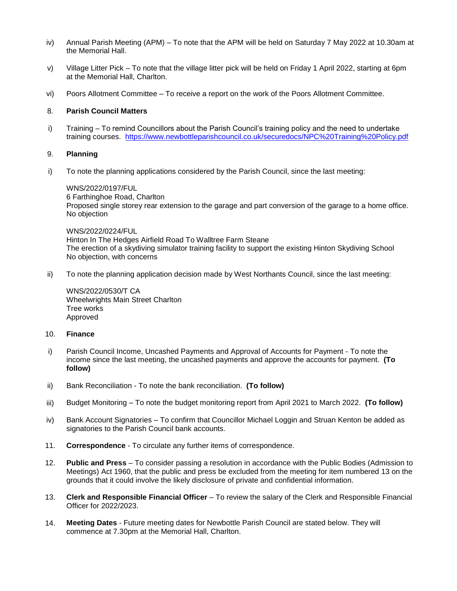- iv) Annual Parish Meeting (APM) To note that the APM will be held on Saturday 7 May 2022 at 10.30am at the Memorial Hall.
- v) Village Litter Pick To note that the village litter pick will be held on Friday 1 April 2022, starting at 6pm at the Memorial Hall, Charlton.
- vi) Poors Allotment Committee To receive a report on the work of the Poors Allotment Committee.

#### 8. **Parish Council Matters**

i) Training – To remind Councillors about the Parish Council's training policy and the need to undertake training courses. <https://www.newbottleparishcouncil.co.uk/securedocs/NPC%20Training%20Policy.pdf>

#### 9. **Planning**

i) To note the planning applications considered by the Parish Council, since the last meeting:

WNS/2022/0197/FUL 6 Farthinghoe Road, Charlton Proposed single storey rear extension to the garage and part conversion of the garage to a home office. No objection

#### WNS/2022/0224/FUL

Hinton In The Hedges Airfield Road To Walltree Farm Steane The erection of a skydiving simulator training facility to support the existing Hinton Skydiving School No objection, with concerns

ii) To note the planning application decision made by West Northants Council, since the last meeting:

WNS/2022/0530/T CA Wheelwrights Main Street Charlton Tree works Approved

#### 10. **Finance**

- i) Parish Council Income, Uncashed Payments and Approval of Accounts for Payment To note the income since the last meeting, the uncashed payments and approve the accounts for payment. **(To follow)**
- ii) Bank Reconciliation To note the bank reconciliation. **(To follow)**
- iii) Budget Monitoring To note the budget monitoring report from April 2021 to March 2022. **(To follow)**
- iv) Bank Account Signatories To confirm that Councillor Michael Loggin and Struan Kenton be added as signatories to the Parish Council bank accounts.
- 11. **Correspondence** To circulate any further items of correspondence.
- 12. **Public and Press** To consider passing a resolution in accordance with the Public Bodies (Admission to Meetings) Act 1960, that the public and press be excluded from the meeting for item numbered 13 on the grounds that it could involve the likely disclosure of private and confidential information.
- 13. **Clerk and Responsible Financial Officer** To review the salary of the Clerk and Responsible Financial Officer for 2022/2023.
- 14. **Meeting Dates**  Future meeting dates for Newbottle Parish Council are stated below. They will commence at 7.30pm at the Memorial Hall, Charlton.